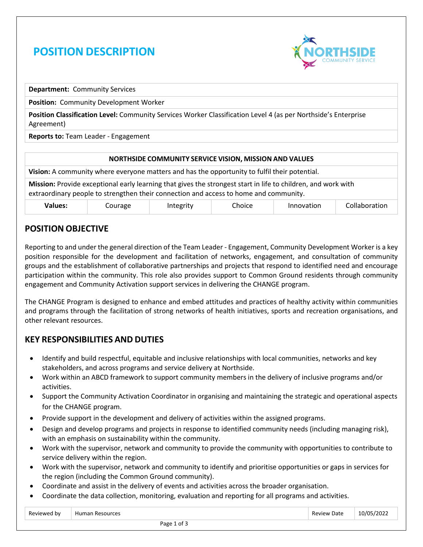# **POSITION DESCRIPTION**



**Department:** Community Services

**Position:** Community Development Worker

**Position Classification Level:** Community Services Worker Classification Level 4 (as per Northside's Enterprise Agreement)

**Reports to:** Team Leader - Engagement

## **NORTHSIDE COMMUNITY SERVICE VISION, MISSION AND VALUES Vision:** A community where everyone matters and has the opportunity to fulfil their potential. **Mission:** Provide exceptional early learning that gives the strongest start in life to children, and work with extraordinary people to strengthen their connection and access to home and community. **Values:** Courage Integrity Choice Innovation Collaboration

#### **POSITION OBJECTIVE**

Reporting to and under the general direction of the Team Leader - Engagement, Community Development Worker is a key position responsible for the development and facilitation of networks, engagement, and consultation of community groups and the establishment of collaborative partnerships and projects that respond to identified need and encourage participation within the community. This role also provides support to Common Ground residents through community engagement and Community Activation support services in delivering the CHANGE program.

The CHANGE Program is designed to enhance and embed attitudes and practices of healthy activity within communities and programs through the facilitation of strong networks of health initiatives, sports and recreation organisations, and other relevant resources.

## **KEY RESPONSIBILITIES AND DUTIES**

- Identify and build respectful, equitable and inclusive relationships with local communities, networks and key stakeholders, and across programs and service delivery at Northside.
- Work within an ABCD framework to support community members in the delivery of inclusive programs and/or activities.
- Support the Community Activation Coordinator in organising and maintaining the strategic and operational aspects for the CHANGE program.
- Provide support in the development and delivery of activities within the assigned programs.
- Design and develop programs and projects in response to identified community needs (including managing risk), with an emphasis on sustainability within the community.
- Work with the supervisor, network and community to provide the community with opportunities to contribute to service delivery within the region.
- Work with the supervisor, network and community to identify and prioritise opportunities or gaps in services for the region (including the Common Ground community).
- Coordinate and assist in the delivery of events and activities across the broader organisation.
- Coordinate the data collection, monitoring, evaluation and reporting for all programs and activities.

| Reviewed by | Human<br>า Resources | Date<br>Review | 10/05/2022 |
|-------------|----------------------|----------------|------------|
|             |                      |                |            |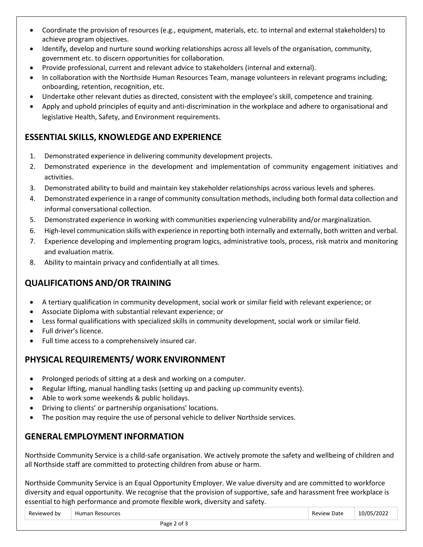- Coordinate the provision of resources (e.g., equipment, materials, etc. to internal and external stakeholders) to achieve program objectives.
- Identify, develop and nurture sound working relationships across all levels of the organisation, community, government etc. to discern opportunities for collaboration.
- Provide professional, current and relevant advice to stakeholders (internal and external).
- In collaboration with the Northside Human Resources Team, manage volunteers in relevant programs including; onboarding, retention, recognition, etc.
- Undertake other relevant duties as directed, consistent with the employee's skill, competence and training.
- Apply and uphold principles of equity and anti-discrimination in the workplace and adhere to organisational and legislative Health, Safety, and Environment requirements.

## **ESSENTIAL SKILLS, KNOWLEDGE AND EXPERIENCE**

- 1. Demonstrated experience in delivering community development projects.
- 2. Demonstrated experience in the development and implementation of community engagement initiatives and activities.
- 3. Demonstrated ability to build and maintain key stakeholder relationships across various levels and spheres.
- 4. Demonstrated experience in a range of community consultation methods, including both formal data collection and informal conversational collection.
- 5. Demonstrated experience in working with communities experiencing vulnerability and/or marginalization.
- 6. High-level communication skills with experience in reporting both internally and externally, both written and verbal.
- 7. Experience developing and implementing program logics, administrative tools, process, risk matrix and monitoring and evaluation matrix.
- 8. Ability to maintain privacy and confidentially at all times.

## **QUALIFICATIONS AND/OR TRAINING**

- A tertiary qualification in community development, social work or similar field with relevant experience; or
- Associate Diploma with substantial relevant experience; or
- Less formal qualifications with specialized skills in community development, social work or similar field.
- Full driver's licence.
- Full time access to a comprehensively insured car.

## **PHYSICAL REQUIREMENTS/ WORK ENVIRONMENT**

- Prolonged periods of sitting at a desk and working on a computer.
- Regular lifting, manual handling tasks (setting up and packing up community events).
- Able to work some weekends & public holidays.
- Driving to clients' or partnership organisations' locations.
- The position may require the use of personal vehicle to deliver Northside services.

#### **GENERAL EMPLOYMENT INFORMATION**

Northside Community Service is a child-safe organisation. We actively promote the safety and wellbeing of children and all Northside staff are committed to protecting children from abuse or harm.

Northside Community Service is an Equal Opportunity Employer. We value diversity and are committed to workforce diversity and equal opportunity. We recognise that the provision of supportive, safe and harassment free workplace is essential to high performance and promote flexible work, diversity and safety.

| Reviewed by<br><b>Review Date</b><br>Human Resources | 10/05/2022 |
|------------------------------------------------------|------------|
|------------------------------------------------------|------------|